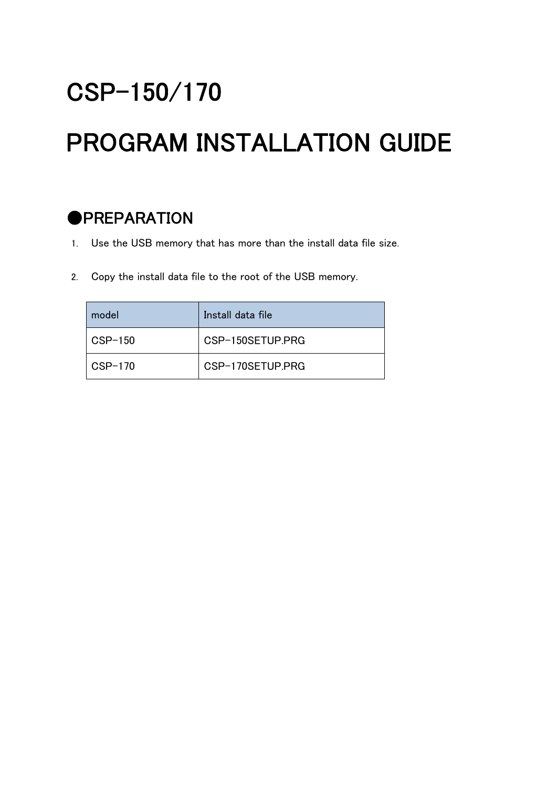## CSP-150/170

# PROGRAM INSTALLATION GUIDE

#### **OPREPARATION**

- 1. Use the USB memory that has more than the install data file size.
- 2. Copy the install data file to the root of the USB memory.

| model                  | Install data file |
|------------------------|-------------------|
| $\overline{C}$ CSP-150 | CSP-150SFTUP PRG  |
| $CSP-170$              | CSP-170SFTUP.PRG  |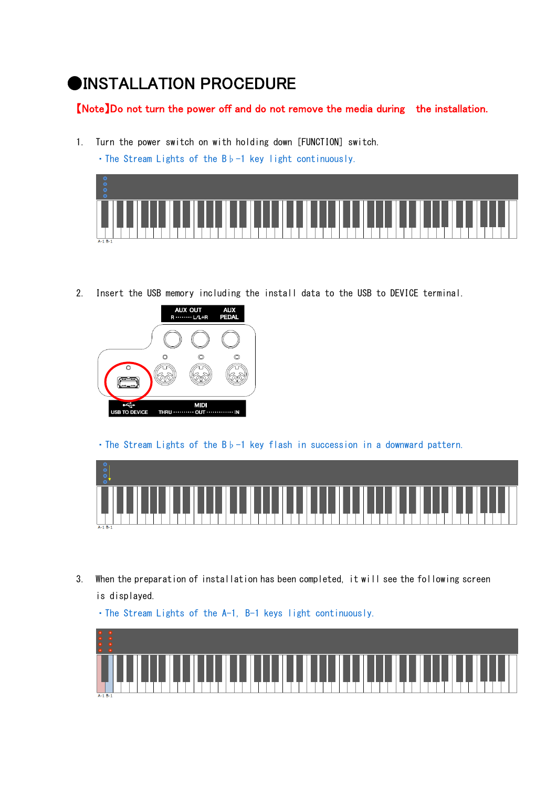#### ●INSTALLATION PROCEDURE

#### 【Note】Do not turn the power off and do not remove the media during the installation.

1. Turn the power switch on with holding down [FUNCTION] switch.

・The Stream Lights of the B♭-1 key light continuously.



2. Insert the USB memory including the install data to the USB to DEVICE terminal.



・The Stream Lights of the B♭-1 key flash in succession in a downward pattern.



3. When the preparation of installation has been completed, it will see the following screen is displayed.



・The Stream Lights of the A-1, B-1 keys light continuously.